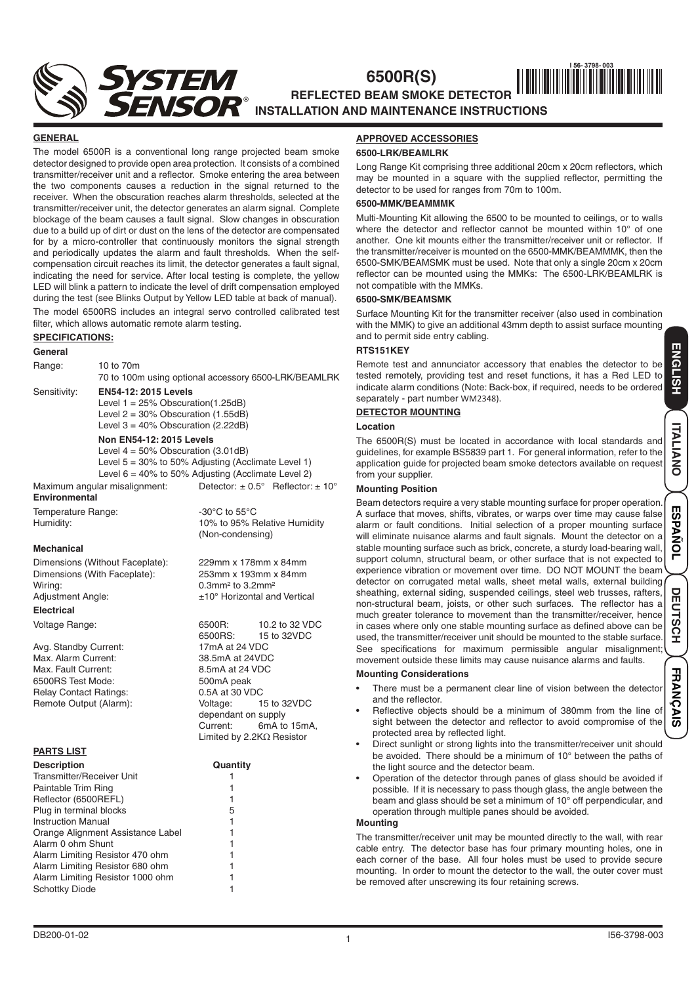**6500R(S)**

# **REFLECTED BEAM SMOKE DETECTOR INSTALLATION AND MAINTENANCE INSTRUCTIONS || |||||||||||||||||||||||||||||**

#### **GENERAL**

The model 6500R is a conventional long range projected beam smoke detector designed to provide open area protection. It consists of a combined transmitter/receiver unit and a reflector. Smoke entering the area between the two components causes a reduction in the signal returned to the receiver. When the obscuration reaches alarm thresholds, selected at the transmitter/receiver unit, the detector generates an alarm signal. Complete blockage of the beam causes a fault signal. Slow changes in obscuration due to a build up of dirt or dust on the lens of the detector are compensated for by a micro-controller that continuously monitors the signal strength and periodically updates the alarm and fault thresholds. When the selfcompensation circuit reaches its limit, the detector generates a fault signal, indicating the need for service. After local testing is complete, the yellow LED will blink a pattern to indicate the level of drift compensation employed during the test (see Blinks Output by Yellow LED table at back of manual).

The model 6500RS includes an integral servo controlled calibrated test filter, which allows automatic remote alarm testing.

# **SPECIFICATIONS:**

## **General**

Range: 10 to 70m

70 to 100m using optional accessory 6500-LRK/BEAMLRK

#### Sensitivity: **EN54-12: 2015 Levels**

Level  $1 = 25\%$  Obscuration(1.25dB) Level  $2 = 30\%$  Obscuration  $(1.55dB)$ Level  $3 = 40\%$  Obscuration (2.22dB)

#### **Non EN54-12: 2015 Levels**

Level  $4 = 50\%$  Obscuration (3.01dB) Level  $5 = 30\%$  to 50% Adjusting (Acclimate Level 1) Level 6 = 40% to 50% Adjusting (Acclimate Level 2)

Maximum angular misalignment: Detector:  $\pm 0.5^\circ$  Reflector:  $\pm 10^\circ$ **Environmental**

Temperature Range:  $-30^{\circ}$ C to 55°C<br>Humidity: 10% to 95% F

### **Mechanical**

Dimensions (Without Faceplate): 229mm x 178mm x 84mm<br>Dimensions (With Faceplate): 253mm x 193mm x 84mm Dimensions (With Faceplate): Wiring:  $0.3$ mm<sup>2</sup> to 3.2mm<sup>2</sup> Adjustment Angle:  $\pm 10^\circ$  Horizontal and Vertical

## **Electrical**

Avg. Standby Current: Max. Alarm Current: 38.5mA at 24VDC<br>Max. Fault Current: 38.5mA at 24 VDC Max. Fault Current: 6500RS Test Mode: 500mA peak Relay Contact Ratings: 0.5A at 30 VDC

# **PARTS LIST**

| <b>Description</b>                | Quar |
|-----------------------------------|------|
| Transmitter/Receiver Unit         |      |
| Paintable Trim Ring               |      |
| Reflector (6500REFL)              |      |
| Plug in terminal blocks           | 5    |
| <b>Instruction Manual</b>         | 1    |
| Orange Alignment Assistance Label |      |
| Alarm 0 ohm Shunt                 | 1    |
| Alarm Limiting Resistor 470 ohm   | 1    |
| Alarm Limiting Resistor 680 ohm   |      |
| Alarm Limiting Resistor 1000 ohm  |      |
| <b>Schottky Diode</b>             |      |
|                                   |      |

10% to 95% Relative Humidity (Non-condensing)

Voltage Range: 6500R: 10.2 to 32 VDC 6500RS: 15 to 32VDC Remote Output (Alarm): Voltage: 15 to 32VDC dependant on supply<br>Current: 6mA to  $6mA$  to 15mA. Limited by 2.2KΩ Resistor

# **Description Quantity**

| ı                                          |
|--------------------------------------------|
| 1                                          |
|                                            |
| $\begin{array}{c} 1 \\ 5 \\ 1 \end{array}$ |
|                                            |
| 1                                          |
| 1                                          |
| 1                                          |
| 1                                          |
| 1                                          |
| 1                                          |
|                                            |

# **APPROVED ACCESSORIES 6500-LRK/BEAMLRK**

Long Range Kit comprising three additional 20cm x 20cm reflectors, which may be mounted in a square with the supplied reflector, permitting the detector to be used for ranges from 70m to 100m.

## **6500-MMK/BEAMMMK**

Multi-Mounting Kit allowing the 6500 to be mounted to ceilings, or to walls where the detector and reflector cannot be mounted within 10° of one another. One kit mounts either the transmitter/receiver unit or reflector. If the transmitter/receiver is mounted on the 6500-MMK/BEAMMMK, then the 6500-SMK/BEAMSMK must be used. Note that only a single 20cm x 20cm reflector can be mounted using the MMKs: The 6500-LRK/BEAMLRK is not compatible with the MMKs.

## **6500-SMK/BEAMSMK**

Surface Mounting Kit for the transmitter receiver (also used in combination with the MMK) to give an additional 43mm depth to assist surface mounting and to permit side entry cabling.

### **RTS151KEY**

Remote test and annunciator accessory that enables the detector to be tested remotely, providing test and reset functions, it has a Red LED to indicate alarm conditions (Note: Back-box, if required, needs to be ordered separately - part number WM2348).

#### **DETECTOR MOUNTING**

### **Location**

The 6500R(S) must be located in accordance with local standards and guidelines, for example BS5839 part 1. For general information, refer to the application guide for projected beam smoke detectors available on request from your supplier.

#### **Mounting Position**

Beam detectors require a very stable mounting surface for proper operation. A surface that moves, shifts, vibrates, or warps over time may cause false alarm or fault conditions. Initial selection of a proper mounting surface will eliminate nuisance alarms and fault signals. Mount the detector on a stable mounting surface such as brick, concrete, a sturdy load-bearing wall, support column, structural beam, or other surface that is not expected to experience vibration or movement over time. DO NOT MOUNT the beam detector on corrugated metal walls, sheet metal walls, external building sheathing, external siding, suspended ceilings, steel web trusses, rafters, non-structural beam, joists, or other such surfaces. The reflector has a much greater tolerance to movement than the transmitter/receiver, hence in cases where only one stable mounting surface as defined above can be used, the transmitter/receiver unit should be mounted to the stable surface. See specifications for maximum permissible angular misalignment movement outside these limits may cause nuisance alarms and faults.

#### **Mounting Considerations**

- There must be a permanent clear line of vision between the detector and the reflector.
- Reflective objects should be a minimum of 380mm from the line of sight between the detector and reflector to avoid compromise of the protected area by reflected light.
- Direct sunlight or strong lights into the transmitter/receiver unit should be avoided. There should be a minimum of 10° between the paths of the light source and the detector beam.
- Operation of the detector through panes of glass should be avoided if possible. If it is necessary to pass though glass, the angle between the beam and glass should be set a minimum of 10° off perpendicular, and operation through multiple panes should be avoided.

# **Mounting**

The transmitter/receiver unit may be mounted directly to the wall, with rear cable entry. The detector base has four primary mounting holes, one in each corner of the base. All four holes must be used to provide secure mounting. In order to mount the detector to the wall, the outer cover must be removed after unscrewing its four retaining screws.

**DEUTSCH ESPAÑOL ENGLISH ITALIANO**

**ESPAÑOL** 

σ

**EUTSCH** 

**ITALIANO** 

**ENGLISH** 

**FRANÇAIS**

 $\overline{a}$ 

**FRANÇA**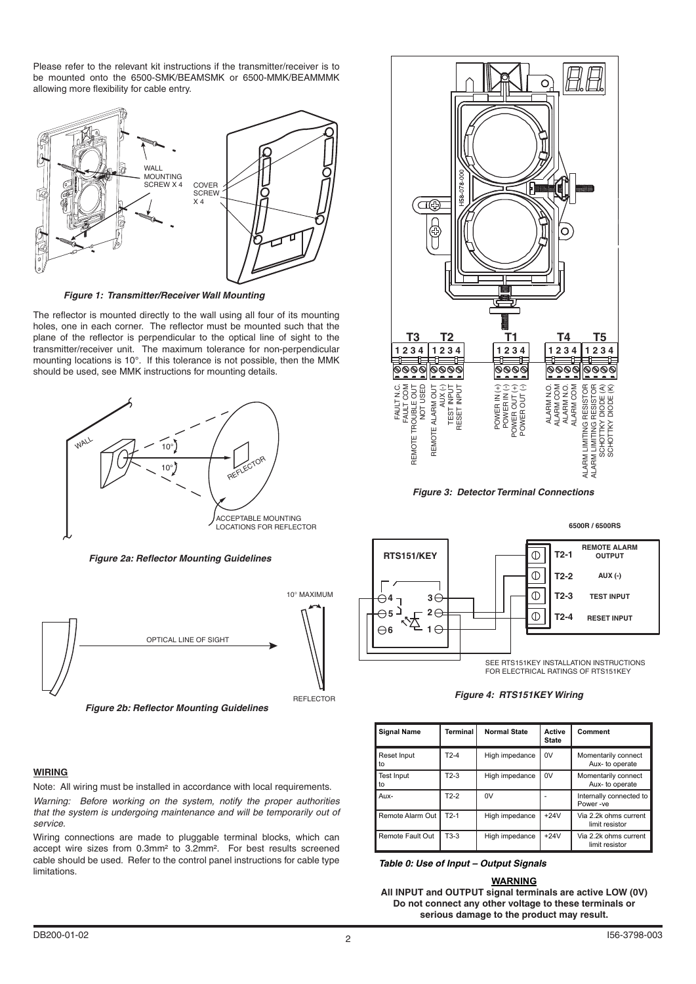Please refer to the relevant kit instructions if the transmitter/receiver is to be mounted onto the 6500-SMK/BEAMSMK or 6500-MMK/BEAMMMK allowing more flexibility for cable entry.



*Figure 1: Transmitter/Receiver Wall Mounting*

The reflector is mounted directly to the wall using all four of its mounting holes, one in each corner. The reflector must be mounted such that the plane of the reflector is perpendicular to the optical line of sight to the transmitter/receiver unit. The maximum tolerance for non-perpendicular mounting locations is 10°. If this tolerance is not possible, then the MMK should be used, see MMK instructions for mounting details.



*Figure 2a: Reflector Mounting Guidelines*



*Figure 2b: Reflector Mounting Guidelines*

# **WIRING**

Note: All wiring must be installed in accordance with local requirements. *Warning: Before working on the system, notify the proper authorities that the system is undergoing maintenance and will be temporarily out of service.*

Wiring connections are made to pluggable terminal blocks, which can accept wire sizes from 0.3mm² to 3.2mm². For best results screened cable should be used. Refer to the control panel instructions for cable type limitations.



*Figure 3: Detector Terminal Connections*



#### *Figure 4: RTS151KEY Wiring*

| <b>Signal Name</b>      | Terminal | <b>Normal State</b> | Active<br><b>State</b> | Comment                                 |
|-------------------------|----------|---------------------|------------------------|-----------------------------------------|
| Reset Input<br>to       | $T2-4$   | High impedance      | 0V                     | Momentarily connect<br>Aux- to operate  |
| <b>Test Input</b><br>to | $T2-3$   | High impedance      | 0V                     | Momentarily connect<br>Aux- to operate  |
| Aux-                    | $T2-2$   | 0V                  |                        | Internally connected to<br>Power-ve     |
| Remote Alarm Out        | $T2-1$   | High impedance      | $+24V$                 | Via 2.2k ohms current<br>limit resistor |
| Remote Fault Out        | $T3-3$   | High impedance      | $+24V$                 | Via 2.2k ohms current<br>limit resistor |

*Table 0: Use of Input – Output Signals*

#### **WARNING**

**All INPUT and OUTPUT signal terminals are active LOW (0V) Do not connect any other voltage to these terminals or serious damage to the product may result.**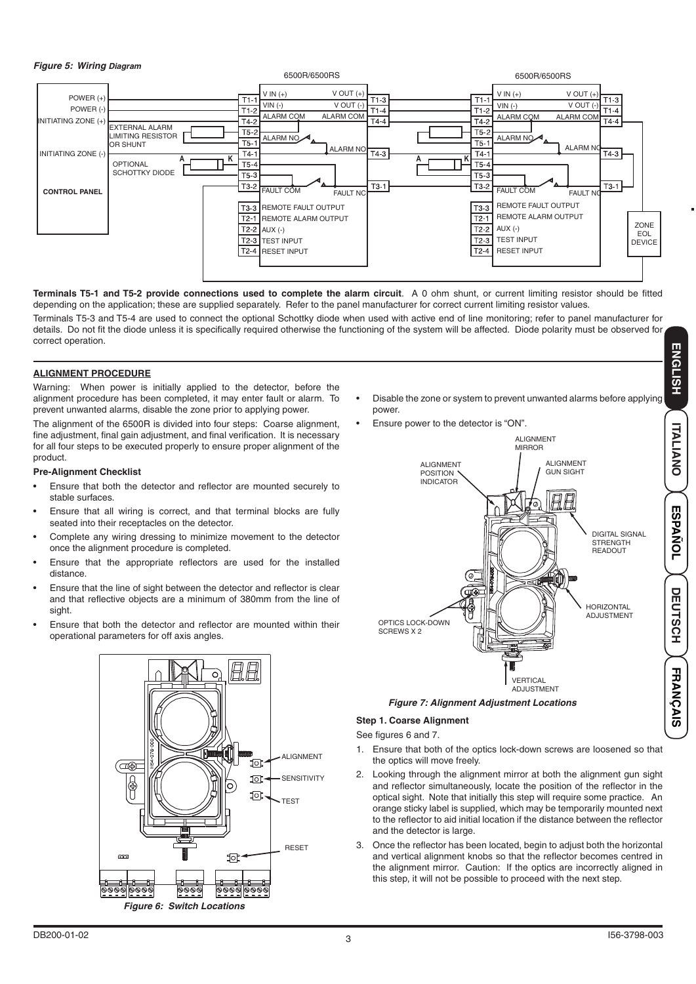### *Figure 5: Wiring Diagram*



**Terminals T5-1 and T5-2 provide connections used to complete the alarm circuit**. A 0 ohm shunt, or current limiting resistor should be fitted depending on the application; these are supplied separately. Refer to the panel manufacturer for correct current limiting resistor values.

Terminals T5-3 and T5-4 are used to connect the optional Schottky diode when used with active end of line monitoring; refer to panel manufacturer for details. Do not fit the diode unless it is specifically required otherwise the functioning of the system will be affected. Diode polarity must be observed for correct operation.

# **ALIGNMENT PROCEDURE**

Warning: When power is initially applied to the detector, before the alignment procedure has been completed, it may enter fault or alarm. To prevent unwanted alarms, disable the zone prior to applying power.

The alignment of the 6500R is divided into four steps: Coarse alignment, fine adjustment, final gain adjustment, and final verification. It is necessary for all four steps to be executed properly to ensure proper alignment of the product.

#### **Pre-Alignment Checklist**

- Ensure that both the detector and reflector are mounted securely to stable surfaces.
- Ensure that all wiring is correct, and that terminal blocks are fully seated into their receptacles on the detector.
- Complete any wiring dressing to minimize movement to the detector once the alignment procedure is completed.
- Ensure that the appropriate reflectors are used for the installed distance.
- Ensure that the line of sight between the detector and reflector is clear and that reflective objects are a minimum of 380mm from the line of sight.
- Ensure that both the detector and reflector are mounted within their operational parameters for off axis angles.



- **ENGLISH** • Disable the zone or system to prevent unwanted alarms before applying power.
- Ensure power to the detector is "ON".



# **Step 1. Coarse Alignment**

See figures 6 and 7.

- 1. Ensure that both of the optics lock-down screws are loosened so that the optics will move freely.
- 2. Looking through the alignment mirror at both the alignment gun sight and reflector simultaneously, locate the position of the reflector in the optical sight. Note that initially this step will require some practice. An orange sticky label is supplied, which may be temporarily mounted next to the reflector to aid initial location if the distance between the reflector and the detector is large.
- 3. Once the reflector has been located, begin to adjust both the horizontal and vertical alignment knobs so that the reflector becomes centred in the alignment mirror. Caution: If the optics are incorrectly aligned in this step, it will not be possible to proceed with the next step.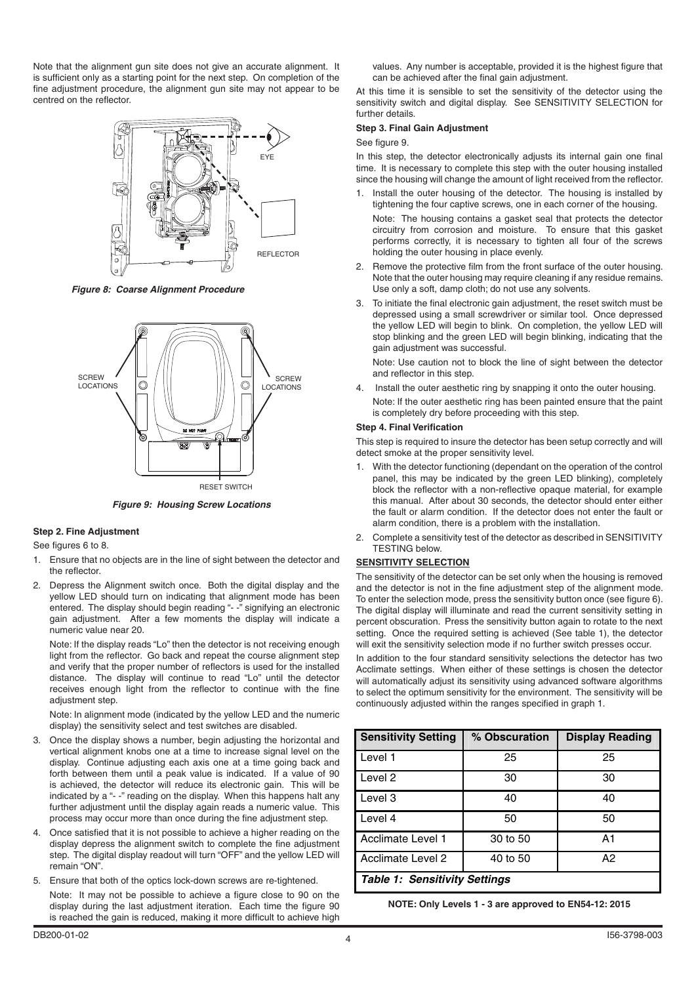Note that the alignment gun site does not give an accurate alignment. It is sufficient only as a starting point for the next step. On completion of the fine adjustment procedure, the alignment gun site may not appear to be centred on the reflector.



*Figure 8: Coarse Alignment Procedure*



*Figure 9: Housing Screw Locations*

# **Step 2. Fine Adjustment**

See figures 6 to 8.

- 1. Ensure that no objects are in the line of sight between the detector and the reflector.
- 2. Depress the Alignment switch once. Both the digital display and the yellow LED should turn on indicating that alignment mode has been entered. The display should begin reading "- -" signifying an electronic gain adjustment. After a few moments the display will indicate a numeric value near 20.

Note: If the display reads "Lo" then the detector is not receiving enough light from the reflector. Go back and repeat the course alignment step and verify that the proper number of reflectors is used for the installed distance. The display will continue to read "Lo" until the detector receives enough light from the reflector to continue with the fine adjustment step.

Note: In alignment mode (indicated by the yellow LED and the numeric display) the sensitivity select and test switches are disabled.

- 3. Once the display shows a number, begin adjusting the horizontal and vertical alignment knobs one at a time to increase signal level on the display. Continue adjusting each axis one at a time going back and forth between them until a peak value is indicated. If a value of 90 is achieved, the detector will reduce its electronic gain. This will be indicated by a "- -" reading on the display. When this happens halt any further adjustment until the display again reads a numeric value. This process may occur more than once during the fine adjustment step.
- Once satisfied that it is not possible to achieve a higher reading on the display depress the alignment switch to complete the fine adjustment step. The digital display readout will turn "OFF" and the yellow LED will remain "ON".
- 5. Ensure that both of the optics lock-down screws are re-tightened. Note: It may not be possible to achieve a figure close to 90 on the display during the last adjustment iteration. Each time the figure 90 is reached the gain is reduced, making it more difficult to achieve high

values. Any number is acceptable, provided it is the highest figure that can be achieved after the final gain adjustment.

At this time it is sensible to set the sensitivity of the detector using the sensitivity switch and digital display. See SENSITIVITY SELECTION for further details.

### **Step 3. Final Gain Adjustment**

See figure 9.

In this step, the detector electronically adjusts its internal gain one final time. It is necessary to complete this step with the outer housing installed since the housing will change the amount of light received from the reflector.

- 1. Install the outer housing of the detector. The housing is installed by tightening the four captive screws, one in each corner of the housing.
- Note: The housing contains a gasket seal that protects the detector circuitry from corrosion and moisture. To ensure that this gasket performs correctly, it is necessary to tighten all four of the screws holding the outer housing in place evenly.
- 2. Remove the protective film from the front surface of the outer housing. Note that the outer housing may require cleaning if any residue remains. Use only a soft, damp cloth; do not use any solvents.
- 3. To initiate the final electronic gain adjustment, the reset switch must be depressed using a small screwdriver or similar tool. Once depressed the yellow LED will begin to blink. On completion, the yellow LED will stop blinking and the green LED will begin blinking, indicating that the gain adjustment was successful.

Note: Use caution not to block the line of sight between the detector and reflector in this step.

4. Install the outer aesthetic ring by snapping it onto the outer housing. Note: If the outer aesthetic ring has been painted ensure that the paint is completely dry before proceeding with this step.

# **Step 4. Final Verification**

This step is required to insure the detector has been setup correctly and will detect smoke at the proper sensitivity level.

- 1. With the detector functioning (dependant on the operation of the control panel, this may be indicated by the green LED blinking), completely block the reflector with a non-reflective opaque material, for example this manual. After about 30 seconds, the detector should enter either the fault or alarm condition. If the detector does not enter the fault or alarm condition, there is a problem with the installation.
- 2. Complete a sensitivity test of the detector as described in SENSITIVITY TESTING below.

# **SENSITIVITY SELECTION**

The sensitivity of the detector can be set only when the housing is removed and the detector is not in the fine adjustment step of the alignment mode. To enter the selection mode, press the sensitivity button once (see figure 6). The digital display will illuminate and read the current sensitivity setting in percent obscuration. Press the sensitivity button again to rotate to the next setting. Once the required setting is achieved (See table 1), the detector will exit the sensitivity selection mode if no further switch presses occur.

In addition to the four standard sensitivity selections the detector has two Acclimate settings. When either of these settings is chosen the detector will automatically adjust its sensitivity using advanced software algorithms to select the optimum sensitivity for the environment. The sensitivity will be continuously adjusted within the ranges specified in graph 1.

| <b>Sensitivity Setting</b>    | % Obscuration | <b>Display Reading</b> |  |  |  |
|-------------------------------|---------------|------------------------|--|--|--|
| Level 1                       | 25            | 25                     |  |  |  |
| Level 2                       | 30            | 30                     |  |  |  |
| Level 3                       | 40            | 40                     |  |  |  |
| Level 4                       | 50            | 50                     |  |  |  |
| Acclimate Level 1             | 30 to 50      | A1                     |  |  |  |
| Acclimate Level 2             | 40 to 50      | А2                     |  |  |  |
| Table 1: Sensitivity Settings |               |                        |  |  |  |

**NOTE: Only Levels 1 - 3 are approved to EN54-12: 2015**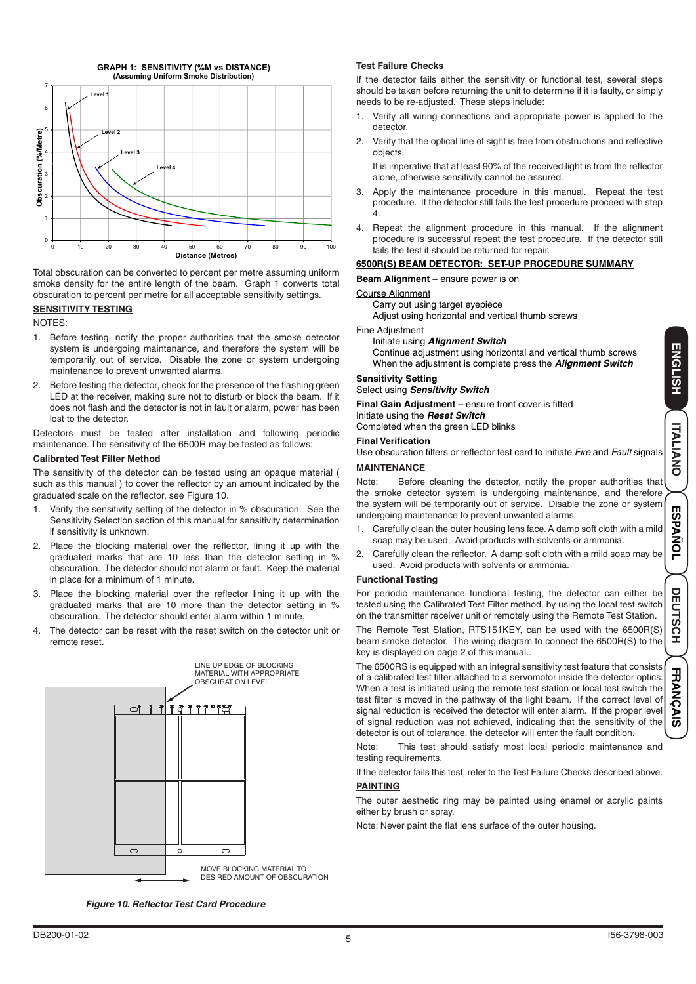

Total obscuration can be converted to percent per metre assuming uniform smoke density for the entire length of the beam. Graph 1 converts total obscuration to percent per metre for all acceptable sensitivity settings.

#### **SENSITIVITY TESTING**

NOTES:

- 1. Before testing, notify the proper authorities that the smoke detector system is undergoing maintenance, and therefore the system will be temporarily out of service. Disable the zone or system undergoing maintenance to prevent unwanted alarms.
- 2. Before testing the detector, check for the presence of the flashing green LED at the receiver, making sure not to disturb or block the beam. If it does not flash and the detector is not in fault or alarm, power has been lost to the detector.

Detectors must be tested after installation and following periodic maintenance. The sensitivity of the 6500R may be tested as follows:

#### **Calibrated Test Filter Method**

The sensitivity of the detector can be tested using an opaque material ( such as this manual ) to cover the reflector by an amount indicated by the graduated scale on the reflector, see Figure 10.

- 1. Verify the sensitivity setting of the detector in % obscuration. See the Sensitivity Selection section of this manual for sensitivity determination if sensitivity is unknown.
- 2. Place the blocking material over the reflector, lining it up with the graduated marks that are 10 less than the detector setting in % obscuration. The detector should not alarm or fault. Keep the material in place for a minimum of 1 minute.
- 3. Place the blocking material over the reflector lining it up with the graduated marks that are 10 more than the detector setting in % obscuration. The detector should enter alarm within 1 minute.
- 4. The detector can be reset with the reset switch on the detector unit or remote reset.



*Figure 10. Reflector Test Card Procedure*

#### **Test Failure Checks**

If the detector fails either the sensitivity or functional test, several steps should be taken before returning the unit to determine if it is faulty, or simply needs to be re-adjusted. These steps include:

- Verify all wiring connections and appropriate power is applied to the detector.
- 2. Verify that the optical line of sight is free from obstructions and reflective objects.

It is imperative that at least 90% of the received light is from the reflector alone, otherwise sensitivity cannot be assured.

- 3. Apply the maintenance procedure in this manual. Repeat the test procedure. If the detector still fails the test procedure proceed with step 4.
- 4. Repeat the alignment procedure in this manual. If the alignment procedure is successful repeat the test procedure. If the detector still fails the test it should be returned for repair.

# **6500R(S) BEAM DETECTOR: SET-UP PROCEDURE SUMMARY**

**Beam Alignment** – ensure power is on

# Course Alignment

Carry out using target eyepiece

Adjust using horizontal and vertical thumb screws

#### Fine Adjustment

Initiate using *Alignment Switch*

Continue adjustment using horizontal and vertical thumb screws When the adjustment is complete press the *Alignment Switch*

# **Sensitivity Setting**

Select using *Sensitivity Switch*

**Final Gain Adjustment** – ensure front cover is fitted Initiate using the *Reset Switch*

Completed when the green LED blinks

# **Final Verification**

Use obscuration filters or reflector test card to initiate *Fire* and *Fault* signals

### **MAINTENANCE**

Note: Before cleaning the detector, notify the proper authorities that the smoke detector system is undergoing maintenance, and therefore the system will be temporarily out of service. Disable the zone or system undergoing maintenance to prevent unwanted alarms.

- 1. Carefully clean the outer housing lens face. A damp soft cloth with a mild soap may be used. Avoid products with solvents or ammonia.
- Carefully clean the reflector. A damp soft cloth with a mild soap may be used. Avoid products with solvents or ammonia.

#### **Functional Testing**

For periodic maintenance functional testing, the detector can either be tested using the Calibrated Test Filter method, by using the local test switch on the transmitter receiver unit or remotely using the Remote Test Station.

The Remote Test Station, RTS151KEY, can be used with the 6500R(S) beam smoke detector. The wiring diagram to connect the 6500R(S) to the key is displayed on page 2 of this manual..

The 6500RS is equipped with an integral sensitivity test feature that consists of a calibrated test filter attached to a servomotor inside the detector optics. When a test is initiated using the remote test station or local test switch the test filter is moved in the pathway of the light beam. If the correct level of signal reduction is received the detector will enter alarm. If the proper level of signal reduction was not achieved, indicating that the sensitivity of the detector is out of tolerance, the detector will enter the fault condition.

Note: This test should satisfy most local periodic maintenance and testing requirements.

If the detector fails this test, refer to the Test Failure Checks described above.

#### **PAINTING**

The outer aesthetic ring may be painted using enamel or acrylic paints either by brush or spray.

Note: Never paint the flat lens surface of the outer housing.

**ENGLISH**